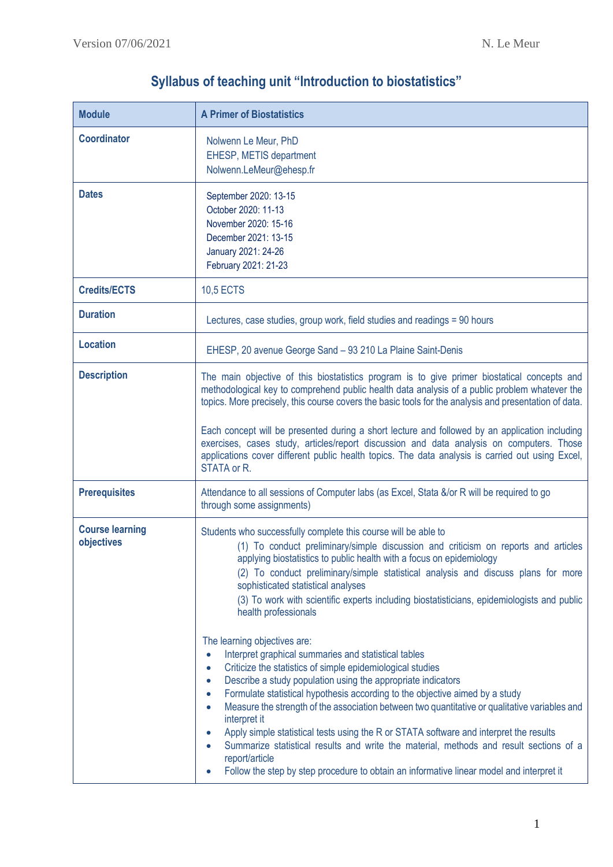| <b>Module</b>                        | <b>A Primer of Biostatistics</b>                                                                                                                                                                                                                                                                                                                                                                                                                                                                                                                                                                                                                                                                                                                             |  |  |  |
|--------------------------------------|--------------------------------------------------------------------------------------------------------------------------------------------------------------------------------------------------------------------------------------------------------------------------------------------------------------------------------------------------------------------------------------------------------------------------------------------------------------------------------------------------------------------------------------------------------------------------------------------------------------------------------------------------------------------------------------------------------------------------------------------------------------|--|--|--|
| <b>Coordinator</b>                   | Nolwenn Le Meur, PhD<br>EHESP, METIS department<br>Nolwenn.LeMeur@ehesp.fr                                                                                                                                                                                                                                                                                                                                                                                                                                                                                                                                                                                                                                                                                   |  |  |  |
| <b>Dates</b>                         | September 2020: 13-15<br>October 2020: 11-13<br>November 2020: 15-16<br>December 2021: 13-15<br>January 2021: 24-26<br>February 2021: 21-23                                                                                                                                                                                                                                                                                                                                                                                                                                                                                                                                                                                                                  |  |  |  |
| <b>Credits/ECTS</b>                  | <b>10,5 ECTS</b>                                                                                                                                                                                                                                                                                                                                                                                                                                                                                                                                                                                                                                                                                                                                             |  |  |  |
| <b>Duration</b>                      | Lectures, case studies, group work, field studies and readings = 90 hours                                                                                                                                                                                                                                                                                                                                                                                                                                                                                                                                                                                                                                                                                    |  |  |  |
| <b>Location</b>                      | EHESP, 20 avenue George Sand - 93 210 La Plaine Saint-Denis                                                                                                                                                                                                                                                                                                                                                                                                                                                                                                                                                                                                                                                                                                  |  |  |  |
| <b>Description</b>                   | The main objective of this biostatistics program is to give primer biostatical concepts and<br>methodological key to comprehend public health data analysis of a public problem whatever the<br>topics. More precisely, this course covers the basic tools for the analysis and presentation of data.<br>Each concept will be presented during a short lecture and followed by an application including                                                                                                                                                                                                                                                                                                                                                      |  |  |  |
|                                      | exercises, cases study, articles/report discussion and data analysis on computers. Those<br>applications cover different public health topics. The data analysis is carried out using Excel,<br>STATA or R.                                                                                                                                                                                                                                                                                                                                                                                                                                                                                                                                                  |  |  |  |
| <b>Prerequisites</b>                 | Attendance to all sessions of Computer labs (as Excel, Stata &/or R will be required to go<br>through some assignments)                                                                                                                                                                                                                                                                                                                                                                                                                                                                                                                                                                                                                                      |  |  |  |
| <b>Course learning</b><br>objectives | Students who successfully complete this course will be able to<br>(1) To conduct preliminary/simple discussion and criticism on reports and articles<br>applying biostatistics to public health with a focus on epidemiology<br>(2) To conduct preliminary/simple statistical analysis and discuss plans for more<br>sophisticated statistical analyses<br>(3) To work with scientific experts including biostatisticians, epidemiologists and public<br>health professionals                                                                                                                                                                                                                                                                                |  |  |  |
|                                      | The learning objectives are:<br>Interpret graphical summaries and statistical tables<br>$\bullet$<br>Criticize the statistics of simple epidemiological studies<br>$\bullet$<br>Describe a study population using the appropriate indicators<br>$\bullet$<br>Formulate statistical hypothesis according to the objective aimed by a study<br>Measure the strength of the association between two quantitative or qualitative variables and<br>interpret it<br>Apply simple statistical tests using the R or STATA software and interpret the results<br>Summarize statistical results and write the material, methods and result sections of a<br>report/article<br>Follow the step by step procedure to obtain an informative linear model and interpret it |  |  |  |

## **Syllabus of teaching unit "Introduction to biostatistics"**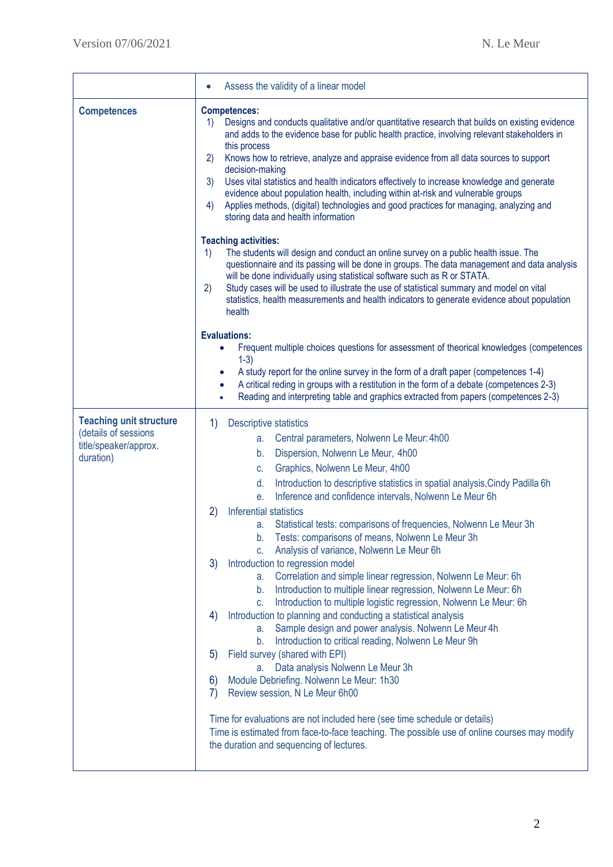|                                                                                              | Assess the validity of a linear model                                                                                                                                                                                                                                                                                                                                                                                                                                                                                                                                                                                                                                                                                                                                                                                                                                                                                                                                                                                                                                                                                                                                                                                                                                                                                                                                                                                                                  |  |  |  |
|----------------------------------------------------------------------------------------------|--------------------------------------------------------------------------------------------------------------------------------------------------------------------------------------------------------------------------------------------------------------------------------------------------------------------------------------------------------------------------------------------------------------------------------------------------------------------------------------------------------------------------------------------------------------------------------------------------------------------------------------------------------------------------------------------------------------------------------------------------------------------------------------------------------------------------------------------------------------------------------------------------------------------------------------------------------------------------------------------------------------------------------------------------------------------------------------------------------------------------------------------------------------------------------------------------------------------------------------------------------------------------------------------------------------------------------------------------------------------------------------------------------------------------------------------------------|--|--|--|
| <b>Competences</b>                                                                           | <b>Competences:</b><br>Designs and conducts qualitative and/or quantitative research that builds on existing evidence<br>1)<br>and adds to the evidence base for public health practice, involving relevant stakeholders in<br>this process<br>Knows how to retrieve, analyze and appraise evidence from all data sources to support<br>2)<br>decision-making<br>Uses vital statistics and health indicators effectively to increase knowledge and generate<br>3)<br>evidence about population health, including within at-risk and vulnerable groups<br>Applies methods, (digital) technologies and good practices for managing, analyzing and<br>4)<br>storing data and health information                                                                                                                                                                                                                                                                                                                                                                                                                                                                                                                                                                                                                                                                                                                                                           |  |  |  |
|                                                                                              | <b>Teaching activities:</b><br>The students will design and conduct an online survey on a public health issue. The<br>1)<br>questionnaire and its passing will be done in groups. The data management and data analysis<br>will be done individually using statistical software such as R or STATA.<br>Study cases will be used to illustrate the use of statistical summary and model on vital<br>2)<br>statistics, health measurements and health indicators to generate evidence about population<br>health                                                                                                                                                                                                                                                                                                                                                                                                                                                                                                                                                                                                                                                                                                                                                                                                                                                                                                                                         |  |  |  |
|                                                                                              | <b>Evaluations:</b><br>Frequent multiple choices questions for assessment of theorical knowledges (competences<br>$1-3)$<br>A study report for the online survey in the form of a draft paper (competences 1-4)<br>A critical reding in groups with a restitution in the form of a debate (competences 2-3)<br>Reading and interpreting table and graphics extracted from papers (competences 2-3)                                                                                                                                                                                                                                                                                                                                                                                                                                                                                                                                                                                                                                                                                                                                                                                                                                                                                                                                                                                                                                                     |  |  |  |
| <b>Teaching unit structure</b><br>(details of sessions<br>title/speaker/approx.<br>duration) | $\left( \frac{1}{2} \right)$<br>Descriptive statistics<br>Central parameters, Nolwenn Le Meur: 4h00<br>а.<br>Dispersion, Nolwenn Le Meur, 4h00<br>b.<br>Graphics, Nolwenn Le Meur, 4h00<br>C.<br>Introduction to descriptive statistics in spatial analysis, Cindy Padilla 6h<br>d.<br>Inference and confidence intervals, Nolwenn Le Meur 6h<br>е.<br>(2)<br>Inferential statistics<br>Statistical tests: comparisons of frequencies, Nolwenn Le Meur 3h<br>а.<br>Tests: comparisons of means, Nolwenn Le Meur 3h<br>b.<br>Analysis of variance, Nolwenn Le Meur 6h<br>C.<br>Introduction to regression model<br>3)<br>Correlation and simple linear regression, Nolwenn Le Meur: 6h<br>а. –<br>Introduction to multiple linear regression, Nolwenn Le Meur: 6h<br>b.<br>Introduction to multiple logistic regression, Nolwenn Le Meur: 6h<br>c.<br>Introduction to planning and conducting a statistical analysis<br>4)<br>Sample design and power analysis. Nolwenn Le Meur 4h<br>a.<br>Introduction to critical reading, Nolwenn Le Meur 9h<br>b.<br>Field survey (shared with EPI)<br>5)<br>a. Data analysis Nolwenn Le Meur 3h<br>Module Debriefing. Nolwenn Le Meur: 1h30<br>6)<br>Review session, N Le Meur 6h00<br>7)<br>Time for evaluations are not included here (see time schedule or details)<br>Time is estimated from face-to-face teaching. The possible use of online courses may modify<br>the duration and sequencing of lectures. |  |  |  |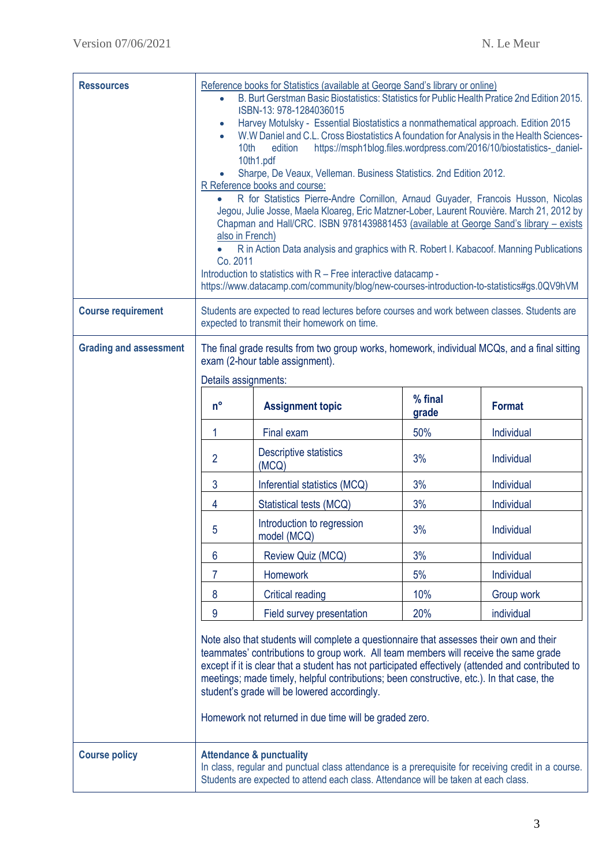| <b>Ressources</b>             | Reference books for Statistics (available at George Sand's library or online)<br>B. Burt Gerstman Basic Biostatistics: Statistics for Public Health Pratice 2nd Edition 2015.<br>ISBN-13: 978-1284036015<br>Harvey Motulsky - Essential Biostatistics a nonmathematical approach. Edition 2015<br>$\bullet$<br>W.W Daniel and C.L. Cross Biostatistics A foundation for Analysis in the Health Sciences-<br>$\bullet$<br>https://msph1blog.files.wordpress.com/2016/10/biostatistics-_daniel-<br>edition<br>10th<br>10th1.pdf<br>Sharpe, De Veaux, Velleman. Business Statistics. 2nd Edition 2012.<br>R Reference books and course:<br>R for Statistics Pierre-Andre Cornillon, Arnaud Guyader, Francois Husson, Nicolas<br>Jegou, Julie Josse, Maela Kloareg, Eric Matzner-Lober, Laurent Rouvière. March 21, 2012 by<br>Chapman and Hall/CRC. ISBN 9781439881453 (available at George Sand's library - exists<br>also in French)<br>R in Action Data analysis and graphics with R. Robert I. Kabacoof. Manning Publications<br>Co. 2011<br>Introduction to statistics with R - Free interactive datacamp -<br>https://www.datacamp.com/community/blog/new-courses-introduction-to-statistics#gs.0QV9hVM |                                           |                  |               |  |
|-------------------------------|------------------------------------------------------------------------------------------------------------------------------------------------------------------------------------------------------------------------------------------------------------------------------------------------------------------------------------------------------------------------------------------------------------------------------------------------------------------------------------------------------------------------------------------------------------------------------------------------------------------------------------------------------------------------------------------------------------------------------------------------------------------------------------------------------------------------------------------------------------------------------------------------------------------------------------------------------------------------------------------------------------------------------------------------------------------------------------------------------------------------------------------------------------------------------------------------------------|-------------------------------------------|------------------|---------------|--|
| <b>Course requirement</b>     | Students are expected to read lectures before courses and work between classes. Students are<br>expected to transmit their homework on time.                                                                                                                                                                                                                                                                                                                                                                                                                                                                                                                                                                                                                                                                                                                                                                                                                                                                                                                                                                                                                                                               |                                           |                  |               |  |
| <b>Grading and assessment</b> | The final grade results from two group works, homework, individual MCQs, and a final sitting<br>exam (2-hour table assignment).<br>Details assignments:                                                                                                                                                                                                                                                                                                                                                                                                                                                                                                                                                                                                                                                                                                                                                                                                                                                                                                                                                                                                                                                    |                                           |                  |               |  |
|                               | $n^{\circ}$                                                                                                                                                                                                                                                                                                                                                                                                                                                                                                                                                                                                                                                                                                                                                                                                                                                                                                                                                                                                                                                                                                                                                                                                | <b>Assignment topic</b>                   | % final<br>grade | <b>Format</b> |  |
|                               |                                                                                                                                                                                                                                                                                                                                                                                                                                                                                                                                                                                                                                                                                                                                                                                                                                                                                                                                                                                                                                                                                                                                                                                                            | Final exam                                | 50%              | Individual    |  |
|                               | $\overline{2}$                                                                                                                                                                                                                                                                                                                                                                                                                                                                                                                                                                                                                                                                                                                                                                                                                                                                                                                                                                                                                                                                                                                                                                                             | <b>Descriptive statistics</b><br>(MCQ)    | 3%               | Individual    |  |
|                               | 3                                                                                                                                                                                                                                                                                                                                                                                                                                                                                                                                                                                                                                                                                                                                                                                                                                                                                                                                                                                                                                                                                                                                                                                                          | Inferential statistics (MCQ)              | 3%               | Individual    |  |
|                               | 4                                                                                                                                                                                                                                                                                                                                                                                                                                                                                                                                                                                                                                                                                                                                                                                                                                                                                                                                                                                                                                                                                                                                                                                                          | Statistical tests (MCQ)                   | 3%               | Individual    |  |
|                               | 5                                                                                                                                                                                                                                                                                                                                                                                                                                                                                                                                                                                                                                                                                                                                                                                                                                                                                                                                                                                                                                                                                                                                                                                                          | Introduction to regression<br>model (MCQ) | 3%               | Individual    |  |
|                               | 6                                                                                                                                                                                                                                                                                                                                                                                                                                                                                                                                                                                                                                                                                                                                                                                                                                                                                                                                                                                                                                                                                                                                                                                                          | Review Quiz (MCQ)                         | 3%               | Individual    |  |
|                               | 7                                                                                                                                                                                                                                                                                                                                                                                                                                                                                                                                                                                                                                                                                                                                                                                                                                                                                                                                                                                                                                                                                                                                                                                                          | <b>Homework</b>                           | 5%               | Individual    |  |
|                               | 8                                                                                                                                                                                                                                                                                                                                                                                                                                                                                                                                                                                                                                                                                                                                                                                                                                                                                                                                                                                                                                                                                                                                                                                                          | <b>Critical reading</b>                   | 10%              | Group work    |  |
|                               | 9                                                                                                                                                                                                                                                                                                                                                                                                                                                                                                                                                                                                                                                                                                                                                                                                                                                                                                                                                                                                                                                                                                                                                                                                          | Field survey presentation                 | 20%              | individual    |  |
|                               | Note also that students will complete a questionnaire that assesses their own and their<br>teammates' contributions to group work. All team members will receive the same grade<br>except if it is clear that a student has not participated effectively (attended and contributed to<br>meetings; made timely, helpful contributions; been constructive, etc.). In that case, the<br>student's grade will be lowered accordingly.<br>Homework not returned in due time will be graded zero.                                                                                                                                                                                                                                                                                                                                                                                                                                                                                                                                                                                                                                                                                                               |                                           |                  |               |  |
| <b>Course policy</b>          | <b>Attendance &amp; punctuality</b><br>In class, regular and punctual class attendance is a prerequisite for receiving credit in a course.<br>Students are expected to attend each class. Attendance will be taken at each class.                                                                                                                                                                                                                                                                                                                                                                                                                                                                                                                                                                                                                                                                                                                                                                                                                                                                                                                                                                          |                                           |                  |               |  |